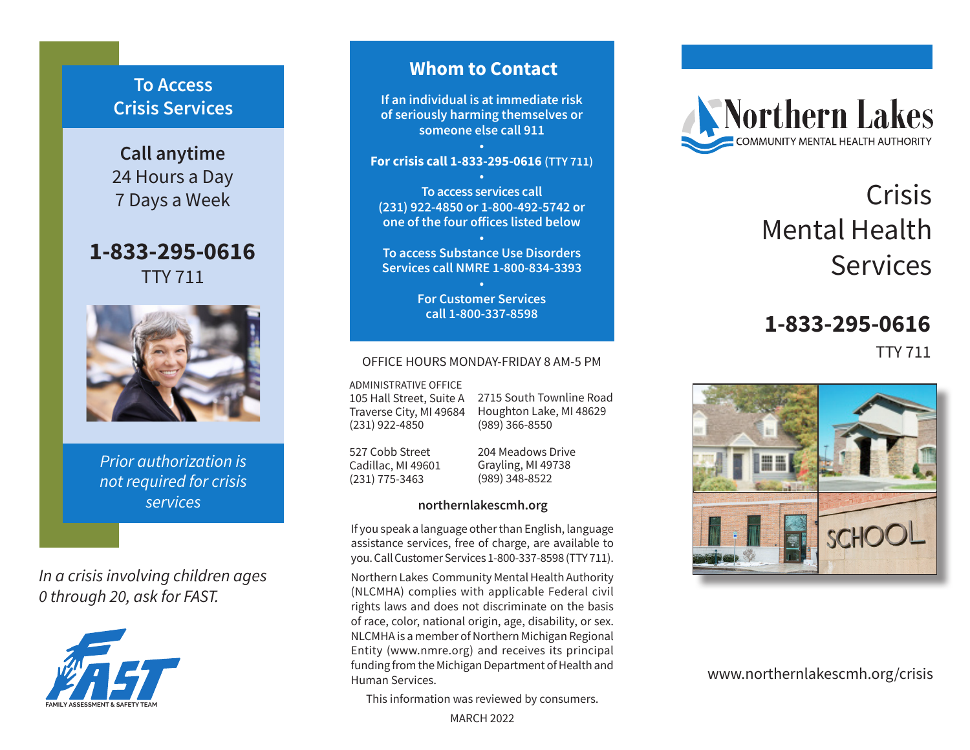## **To Access Crisis Services**

**Call anytime** 24 Hours a Day 7 Days a Week

**1-833-295-0616** TTY 711



*Prior authorization is not required for crisis services*

*In a crisis involving children ages 0 through 20, ask for FAST.*



## **Whom to Contact**

**If an individual is at immediate risk of seriously harming themselves or someone else call 911**

**• For crisis call 1-833-295-0616 (TTY 711) •**

**To access services call (231) 922-4850 or 1-800-492-5742 or one of the four offices listed below**

**• To access Substance Use Disorders Services call NMRE 1-800-834-3393**

> **• For Customer Services call 1-800-337-8598**

#### OFFICE HOURS MONDAY-FRIDAY 8 AM-5 PM

ADMINISTRATIVE OFFICE

105 Hall Street, Suite A Traverse City, MI 49684 (231) 922-4850

2715 South Townline Road Houghton Lake, MI 48629 (989) 366-8550

527 Cobb Street Cadillac, MI 49601 (231) 775-3463

204 Meadows Drive Grayling, MI 49738 (989) 348-8522

### **northernlakescmh.org**

If you speak a language other than English, language assistance services, free of charge, are available to you. Call Customer Services 1-800-337-8598 (TTY 711).

Northern Lakes Community Mental Health Authority (NLCMHA) complies with applicable Federal civil rights laws and does not discriminate on the basis of race, color, national origin, age, disability, or sex. NLCMHA is a member of Northern Michigan Regional Entity (www.nmre.org) and receives its principal funding from the Michigan Department of Health and Human Services.

This information was reviewed by consumers.

MARCH 2022



# Crisis Mental Health Services

# **1-833-295-0616**

TTY 711



www.northernlakescmh.org/crisis